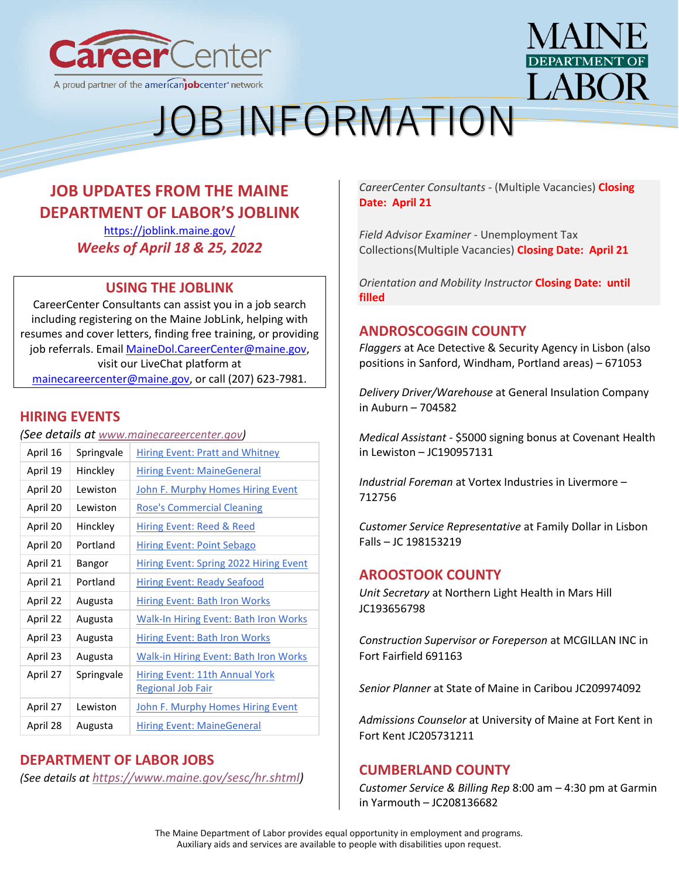



## **JOB UPDATES FROM THE MAINE DEPARTMENT OF LABOR'S JOBLINK**

<https://joblink.maine.gov/> *Weeks of April 18 & 25, 2022*

## **USING THE JOBLINK**

CareerCenter Consultants can assist you in a job search including registering on the Maine JobLink, helping with resumes and cover letters, finding free training, or providing job referrals. Email [MaineDol.CareerCenter@maine.gov,](mailto:MaineDol.CareerCenter@maine.gov) visit our LiveChat platform at [mainecareercenter@maine.gov,](mailto:mainecareercenter@maine.gov) or call (207) 623-7981.

## **HIRING EVENTS**

*(See details at [www.mainecareercenter.gov\)](http://www.mainecareercenter.gov/)*

| April 16 | Springvale | <b>Hiring Event: Pratt and Whitney</b>        |
|----------|------------|-----------------------------------------------|
| April 19 | Hinckley   | <b>Hiring Event: MaineGeneral</b>             |
| April 20 | Lewiston   | <b>John F. Murphy Homes Hiring Event</b>      |
| April 20 | Lewiston   | <b>Rose's Commercial Cleaning</b>             |
| April 20 | Hinckley   | Hiring Event: Reed & Reed                     |
| April 20 | Portland   | <b>Hiring Event: Point Sebago</b>             |
| April 21 | Bangor     | <b>Hiring Event: Spring 2022 Hiring Event</b> |
| April 21 | Portland   | Hiring Event: Ready Seafood                   |
| April 22 | Augusta    | <b>Hiring Event: Bath Iron Works</b>          |
| April 22 | Augusta    | <b>Walk-In Hiring Event: Bath Iron Works</b>  |
| April 23 | Augusta    | <b>Hiring Event: Bath Iron Works</b>          |
| April 23 | Augusta    | <b>Walk-in Hiring Event: Bath Iron Works</b>  |
| April 27 | Springvale | Hiring Event: 11th Annual York                |
|          |            | <b>Regional Job Fair</b>                      |
| April 27 | Lewiston   | John F. Murphy Homes Hiring Event             |
| April 28 | Augusta    | <b>Hiring Event: MaineGeneral</b>             |

## **DEPARTMENT OF LABOR JOBS**

*(See details at [https://www.maine.gov/sesc/hr.shtml\)](https://www.maine.gov/sesc/hr.shtml)*

*CareerCenter Consultants* - (Multiple Vacancies) **Closing Date: April 21**

*Field Advisor Examiner* - Unemployment Tax Collections(Multiple Vacancies) **Closing Date: April 21**

*Orientation and Mobility Instructor* **Closing Date: until filled**

## **ANDROSCOGGIN COUNTY**

*[Flaggers](https://joblink.maine.gov/jobs/671053)* at Ace Detective & Security Agency in Lisbon (also positions in Sanford, Windham, Portland areas) – 671053

*[Delivery Driver/Warehouse](https://joblink.maine.gov/jobs/704582)* at General Insulation Company in Auburn – 704582

*Medical Assistant* - [\\$5000 signing bonus](https://joblink.maine.gov/jobs/598275) at Covenant Health in Lewiston – JC190957131

*[Industrial Foreman](https://joblink.maine.gov/jobs/712756)* at Vortex Industries in Livermore – 712756

*[Customer Service Representative](https://joblink.maine.gov/jobs/644618)* at Family Dollar in Lisbon Falls – JC 198153219

## **AROOSTOOK COUNTY**

*[Unit Secretary](https://gcc02.safelinks.protection.outlook.com/?url=https%3A%2F%2Fjoblink.maine.gov%2Fjobs%2F614880&data=04%7C01%7CDavid.M.Grima%40maine.gov%7Ccc824acf8a794582254c08da1bf088a0%7C413fa8ab207d4b629bcdea1a8f2f864e%7C0%7C0%7C637853017147482250%7CUnknown%7CTWFpbGZsb3d8eyJWIjoiMC4wLjAwMDAiLCJQIjoiV2luMzIiLCJBTiI6Ik1haWwiLCJXVCI6Mn0%3D%7C3000&sdata=Ey6CgfSsKd36Z12DQ90doWOCjUrW3ffTQkyOIFmE8qk%3D&reserved=0)* at [Northern Light Health](https://gcc02.safelinks.protection.outlook.com/?url=https%3A%2F%2Fjoblink.maine.gov%2Femployers%2F16387&data=04%7C01%7CDavid.M.Grima%40maine.gov%7Ccc824acf8a794582254c08da1bf088a0%7C413fa8ab207d4b629bcdea1a8f2f864e%7C0%7C0%7C637853017147482250%7CUnknown%7CTWFpbGZsb3d8eyJWIjoiMC4wLjAwMDAiLCJQIjoiV2luMzIiLCJBTiI6Ik1haWwiLCJXVCI6Mn0%3D%7C3000&sdata=EaM9nJ%2FyUrKM6KvWqqwaJ4Og2YZPgdaRM%2Bk6edB7p7k%3D&reserved=0) in Mars Hill JC193656798

*[Construction Supervisor or Foreperson](https://gcc02.safelinks.protection.outlook.com/?url=https%3A%2F%2Fjoblink.maine.gov%2Fjobs%2F691163&data=04%7C01%7CDavid.M.Grima%40maine.gov%7Ccc824acf8a794582254c08da1bf088a0%7C413fa8ab207d4b629bcdea1a8f2f864e%7C0%7C0%7C637853017147482250%7CUnknown%7CTWFpbGZsb3d8eyJWIjoiMC4wLjAwMDAiLCJQIjoiV2luMzIiLCJBTiI6Ik1haWwiLCJXVCI6Mn0%3D%7C3000&sdata=MrwGgxmVN%2Fes5E9PaNiHN3UfiCV96R0JkrZfByWwhes%3D&reserved=0)* at [MCGILLAN INC](https://gcc02.safelinks.protection.outlook.com/?url=https%3A%2F%2Fjoblink.maine.gov%2Femployers%2F7430&data=04%7C01%7CDavid.M.Grima%40maine.gov%7Ccc824acf8a794582254c08da1bf088a0%7C413fa8ab207d4b629bcdea1a8f2f864e%7C0%7C0%7C637853017147482250%7CUnknown%7CTWFpbGZsb3d8eyJWIjoiMC4wLjAwMDAiLCJQIjoiV2luMzIiLCJBTiI6Ik1haWwiLCJXVCI6Mn0%3D%7C3000&sdata=qGQWbMItQOCamOc7Ruqhj9cDbFyADpFIpUEcmRDMQ4c%3D&reserved=0) in Fort Fairfield 691163

*[Senior Planner](https://gcc02.safelinks.protection.outlook.com/?url=https%3A%2F%2Fjoblink.maine.gov%2Fjobs%2F723418&data=04%7C01%7CDavid.M.Grima%40maine.gov%7Ccc824acf8a794582254c08da1bf088a0%7C413fa8ab207d4b629bcdea1a8f2f864e%7C0%7C0%7C637853017147482250%7CUnknown%7CTWFpbGZsb3d8eyJWIjoiMC4wLjAwMDAiLCJQIjoiV2luMzIiLCJBTiI6Ik1haWwiLCJXVCI6Mn0%3D%7C3000&sdata=TSz2vHF%2FssI0jc58MGy%2BY3fyPWDmGvpJ1eENaz0SDpo%3D&reserved=0)* at [State of Maine](https://gcc02.safelinks.protection.outlook.com/?url=https%3A%2F%2Fjoblink.maine.gov%2Femployers%2F15792&data=04%7C01%7CDavid.M.Grima%40maine.gov%7Ccc824acf8a794582254c08da1bf088a0%7C413fa8ab207d4b629bcdea1a8f2f864e%7C0%7C0%7C637853017147482250%7CUnknown%7CTWFpbGZsb3d8eyJWIjoiMC4wLjAwMDAiLCJQIjoiV2luMzIiLCJBTiI6Ik1haWwiLCJXVCI6Mn0%3D%7C3000&sdata=JqTmVLoxt4HGtl09YzoMu0xYuk2tdojdXe8xsRCZzl0%3D&reserved=0) in Caribou JC209974092

*[Admissions Counselor](https://gcc02.safelinks.protection.outlook.com/?url=https%3A%2F%2Fjoblink.maine.gov%2Fjobs%2F693509&data=04%7C01%7CDavid.M.Grima%40maine.gov%7Ccc824acf8a794582254c08da1bf088a0%7C413fa8ab207d4b629bcdea1a8f2f864e%7C0%7C0%7C637853017147638484%7CUnknown%7CTWFpbGZsb3d8eyJWIjoiMC4wLjAwMDAiLCJQIjoiV2luMzIiLCJBTiI6Ik1haWwiLCJXVCI6Mn0%3D%7C3000&sdata=LV%2FqZ8kuI66DkIqxmUAaFEoYOYduqI5VBT6GujzNVBA%3D&reserved=0)* at [University of Maine at Fort Kent](https://gcc02.safelinks.protection.outlook.com/?url=https%3A%2F%2Fjoblink.maine.gov%2Femployers%2F20909&data=04%7C01%7CDavid.M.Grima%40maine.gov%7Ccc824acf8a794582254c08da1bf088a0%7C413fa8ab207d4b629bcdea1a8f2f864e%7C0%7C0%7C637853017147638484%7CUnknown%7CTWFpbGZsb3d8eyJWIjoiMC4wLjAwMDAiLCJQIjoiV2luMzIiLCJBTiI6Ik1haWwiLCJXVCI6Mn0%3D%7C3000&sdata=kupEF1R6%2BZfvPRz1v8SutSXsAF8ChoCKXVT8IfcIwgU%3D&reserved=0) in Fort Kent JC205731211

## **CUMBERLAND COUNTY**

*[Customer Service & Billing Rep](https://joblink.maine.gov/jobs/712451)* 8:00 am – 4:30 pm at Garmin in Yarmouth – JC208136682

The Maine Department of Labor provides equal opportunity in employment and programs. Auxiliary aids and services are available to people with disabilities upon request.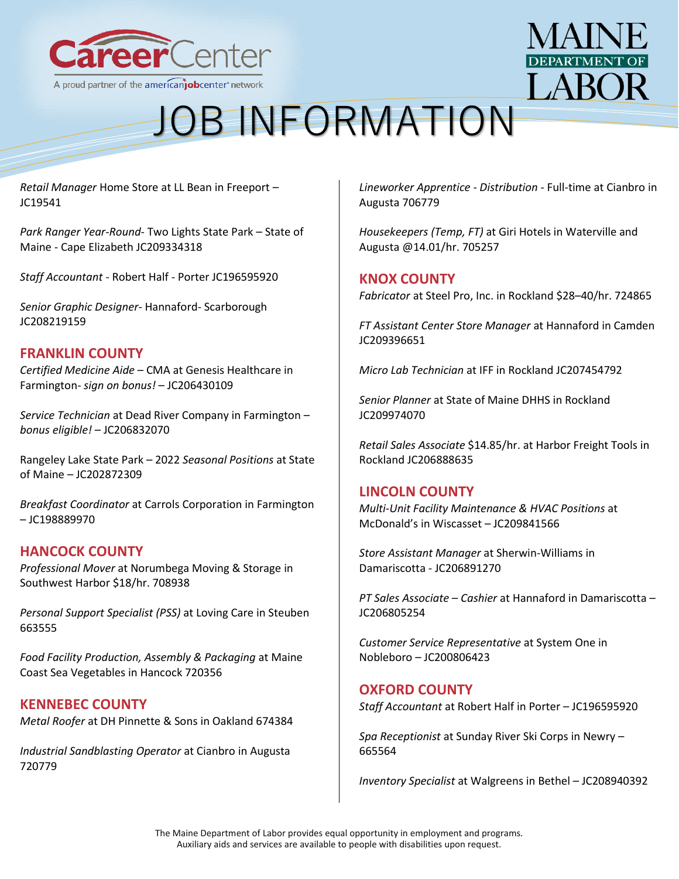



*[Retail Manager](https://joblink.maine.gov/jobs/626263)* Home Store at LL Bean in Freeport – JC19541

*[Park Ranger Year-Round](https://joblink.maine.gov/jobs/719628)*- Two Lights State Park – State of Maine - [Cape Elizabeth JC209334318](https://joblink.maine.gov/jobs/719628)

*Staff Accountant* - Robert Half - [Porter JC196595920](https://joblink.maine.gov/jobs/633569)

*[Senior Graphic Designer](https://joblink.maine.gov/jobs/712197)*- Hannaford- Scarborough [JC208219159](https://joblink.maine.gov/jobs/712197)

## **FRANKLIN COUNTY**

*[Certified Medicine Aide](https://joblink.maine.gov/jobs/700096)* – CMA at Genesis Healthcare in Farmington- *sign on bonus!* – JC206430109

*[Service Technician](https://joblink.maine.gov/jobs/703560)* at Dead River Company in Farmington – *bonus eligible!* – JC206832070

[Rangeley Lake State Park](https://joblink.maine.gov/jobs/674604) – 2022 *Seasonal Positions* at State of Maine – JC202872309

*[Breakfast Coordinator](https://joblink.maine.gov/jobs/648198)* at Carrols Corporation in Farmington – JC198889970

## **HANCOCK COUNTY**

*[Professional Mover](https://joblink.maine.gov/jobs/708938)* at Norumbega Moving & Storage in Southwest Harbor \$18/hr. 708938

*[Personal Support Specialist \(PSS\)](https://joblink.maine.gov/jobs/663555)* at Loving Care in Steuben 663555

*[Food Facility Production, Assembly & Packaging](https://joblink.maine.gov/jobs/720356)* at Maine Coast Sea Vegetables in Hancock 720356

## **KENNEBEC COUNTY**

*[Metal Roofer](https://gcc02.safelinks.protection.outlook.com/?url=https%3A%2F%2Fjoblink.maine.gov%2Fjobs%2F674384&data=04%7C01%7CDavid.M.Grima%40maine.gov%7Caf01c7baacaa4f89124e08da1e1995a4%7C413fa8ab207d4b629bcdea1a8f2f864e%7C0%7C0%7C637855392476898796%7CUnknown%7CTWFpbGZsb3d8eyJWIjoiMC4wLjAwMDAiLCJQIjoiV2luMzIiLCJBTiI6Ik1haWwiLCJXVCI6Mn0%3D%7C3000&sdata=jZKD9QDhuFSjSB0XlypAHsvMpGIchnIqCEc%2FflgZY4A%3D&reserved=0)* at [DH Pinnette & Sons](https://gcc02.safelinks.protection.outlook.com/?url=https%3A%2F%2Fjoblink.maine.gov%2Femployers%2F18956&data=04%7C01%7CDavid.M.Grima%40maine.gov%7Caf01c7baacaa4f89124e08da1e1995a4%7C413fa8ab207d4b629bcdea1a8f2f864e%7C0%7C0%7C637855392476898796%7CUnknown%7CTWFpbGZsb3d8eyJWIjoiMC4wLjAwMDAiLCJQIjoiV2luMzIiLCJBTiI6Ik1haWwiLCJXVCI6Mn0%3D%7C3000&sdata=165amfju%2Fkwvm3sakAVYF2XjNK2ccHhW8EBRCJ1%2BPD4%3D&reserved=0) in Oakland 674384

*[Industrial Sandblasting Operator](https://gcc02.safelinks.protection.outlook.com/?url=https%3A%2F%2Fjoblink.maine.gov%2Fjobs%2F720779&data=04%7C01%7CDavid.M.Grima%40maine.gov%7Caf01c7baacaa4f89124e08da1e1995a4%7C413fa8ab207d4b629bcdea1a8f2f864e%7C0%7C0%7C637855392476898796%7CUnknown%7CTWFpbGZsb3d8eyJWIjoiMC4wLjAwMDAiLCJQIjoiV2luMzIiLCJBTiI6Ik1haWwiLCJXVCI6Mn0%3D%7C3000&sdata=YeyLFx6bIymbrk6L2jUZoEQk1LcHPMNgCry9f4b5qEY%3D&reserved=0)* at [Cianbro](https://gcc02.safelinks.protection.outlook.com/?url=https%3A%2F%2Fjoblink.maine.gov%2Femployers%2F10945&data=04%7C01%7CDavid.M.Grima%40maine.gov%7Caf01c7baacaa4f89124e08da1e1995a4%7C413fa8ab207d4b629bcdea1a8f2f864e%7C0%7C0%7C637855392476898796%7CUnknown%7CTWFpbGZsb3d8eyJWIjoiMC4wLjAwMDAiLCJQIjoiV2luMzIiLCJBTiI6Ik1haWwiLCJXVCI6Mn0%3D%7C3000&sdata=ous%2FlSWJmy%2B0BaQ8mxDMZea01drEJI6w7fFtEmxo%2FRc%3D&reserved=0) in Augusta 720779

*[Lineworker Apprentice -](https://gcc02.safelinks.protection.outlook.com/?url=https%3A%2F%2Fjoblink.maine.gov%2Fjobs%2F706779&data=04%7C01%7CDavid.M.Grima%40maine.gov%7Caf01c7baacaa4f89124e08da1e1995a4%7C413fa8ab207d4b629bcdea1a8f2f864e%7C0%7C0%7C637855392476898796%7CUnknown%7CTWFpbGZsb3d8eyJWIjoiMC4wLjAwMDAiLCJQIjoiV2luMzIiLCJBTiI6Ik1haWwiLCJXVCI6Mn0%3D%7C3000&sdata=m8Umdd5wvKhhQXS%2F3SDZOC1MlfbRTXZAxaz5AsqoYbQ%3D&reserved=0) Distribution* - Full-time at [Cianbro](https://gcc02.safelinks.protection.outlook.com/?url=https%3A%2F%2Fjoblink.maine.gov%2Femployers%2F10945&data=04%7C01%7CDavid.M.Grima%40maine.gov%7Caf01c7baacaa4f89124e08da1e1995a4%7C413fa8ab207d4b629bcdea1a8f2f864e%7C0%7C0%7C637855392476898796%7CUnknown%7CTWFpbGZsb3d8eyJWIjoiMC4wLjAwMDAiLCJQIjoiV2luMzIiLCJBTiI6Ik1haWwiLCJXVCI6Mn0%3D%7C3000&sdata=ous%2FlSWJmy%2B0BaQ8mxDMZea01drEJI6w7fFtEmxo%2FRc%3D&reserved=0) in Augusta 706779

*Housekeepers (Temp, FT)* at Giri Hotels in Waterville and Augusta @14.01/hr. 705257

#### **KNOX COUNTY**

*[Fabricator](https://joblink.maine.gov/jobs/724865)* at [Steel Pro, Inc.](https://joblink.maine.gov/employers/10889) in Rockland \$28–40/hr. 724865

*[FT Assistant Center Store Manager](https://joblink.maine.gov/jobs/720429)* at [Hannaford](https://joblink.maine.gov/employers/18132) in Camden JC209396651

*[Micro Lab Technician](https://joblink.maine.gov/jobs/707297)* at [IFF](https://joblink.maine.gov/employers/20488) in Rockland JC207454792

*[Senior Planner](https://joblink.maine.gov/jobs/723415)* at [State of Maine DHHS](https://joblink.maine.gov/employers/15792) in Rockland JC209974070

*[Retail Sales Associate](https://joblink.maine.gov/jobs/704281)* \$14.85/hr. at [Harbor Freight Tools](https://joblink.maine.gov/employers/11616) in Rockland JC206888635

## **LINCOLN COUNTY**

*[Multi-Unit Facility Maintenance & HVAC Positions](https://joblink.maine.gov/jobs/723936)* at McDonald's in Wiscasset – JC209841566

*[Store Assistant Manager](https://joblink.maine.gov/jobs/704240)* at Sherwin-Williams in Damariscotta - JC206891270

*[PT Sales Associate](https://joblink.maine.gov/jobs/703207) – Cashier* at Hannaford in Damariscotta – JC206805254

*[Customer Service Representative](https://joblink.maine.gov/jobs/661109)* at System One in Nobleboro – JC200806423

#### **OXFORD COUNTY**

*[Staff Accountant](https://joblink.maine.gov/jobs/633569)* at Robert Half in Porter – JC196595920

*[Spa Receptionist](https://joblink.maine.gov/jobs/665564)* at Sunday River Ski Corps in Newry – 665564

*[Inventory Specialist](https://joblink.maine.gov/jobs/718142)* at Walgreens in Bethel – JC208940392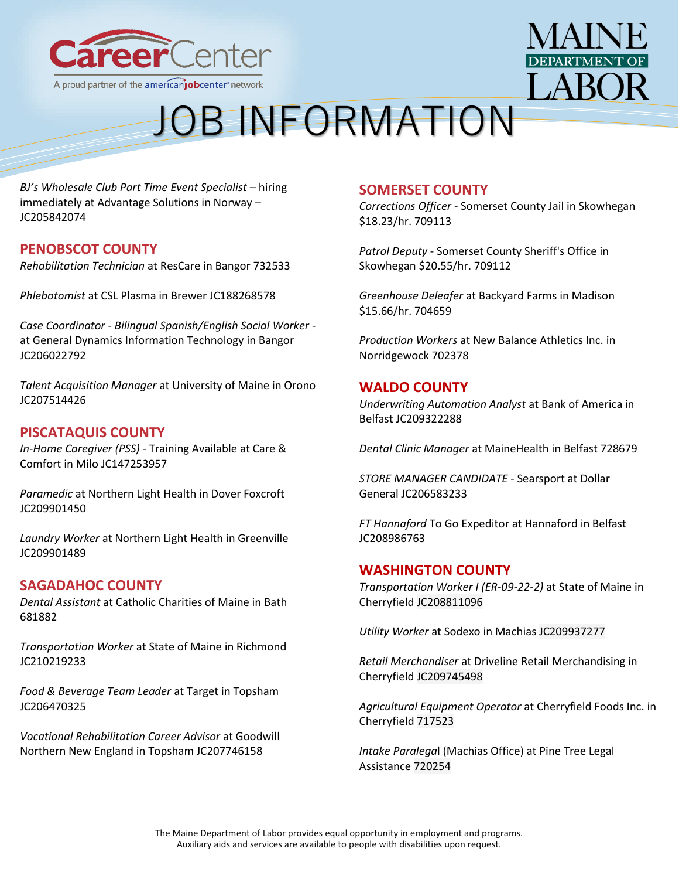



*[BJ's Wholesale Club Part Time Event Specialist](https://joblink.maine.gov/jobs/695913)* – hiring [immediately](https://joblink.maine.gov/jobs/695913) at Advantage Solutions in Norway – JC205842074

## **PENOBSCOT COUNTY**

*[Rehabilitation Technician](https://joblink.maine.gov/jobs/732533)* at ResCare in Bangor 732533

*[Phlebotomist](https://joblink.maine.gov/jobs/582793)* at CSL Plasma in Brewer JC188268578

*Case Coordinator - [Bilingual Spanish/English Social Worker](https://joblink.maine.gov/jobs/696926)* at General Dynamics Information Technology in Bangor JC206022792

*[Talent Acquisition Manager](https://joblink.maine.gov/jobs/707893)* at University of Maine in Orono JC207514426

#### **PISCATAQUIS COUNTY**

*[In-Home Caregiver \(PSS\)](https://joblink.maine.gov/jobs/407953)* - Training Available at Care & Comfort in Milo JC147253957

*[Paramedic](https://joblink.maine.gov/jobs/724202)* at Northern Light Health in Dover Foxcroft JC209901450

*[Laundry Worker](https://joblink.maine.gov/jobs/723693)* at Northern Light Health in Greenville JC209901489

#### **SAGADAHOC COUNTY**

*[Dental Assistant](https://joblink.maine.gov/jobs/681882)* at Catholic Charities of Maine in Bath 681882

*[Transportation Worker](https://joblink.maine.gov/jobs/727553)* at State of Maine in Richmond JC210219233

*[Food & Beverage Team Leader](https://joblink.maine.gov/jobs/700110)* at Target in Topsham JC206470325

*[Vocational Rehabilitation Career Advisor](https://joblink.maine.gov/jobs/709482)* at Goodwill Northern New England in Topsham JC207746158

#### **SOMERSET COUNTY**

*Corrections Officer* - [Somerset County Jail](https://gcc02.safelinks.protection.outlook.com/?url=https%3A%2F%2Fjoblink.maine.gov%2Fjobs%2F709113&data=04%7C01%7CDavid.M.Grima%40maine.gov%7Cd8605b36a2284f7992f508da1e1292f4%7C413fa8ab207d4b629bcdea1a8f2f864e%7C0%7C0%7C637855362363857015%7CUnknown%7CTWFpbGZsb3d8eyJWIjoiMC4wLjAwMDAiLCJQIjoiV2luMzIiLCJBTiI6Ik1haWwiLCJXVCI6Mn0%3D%7C3000&sdata=Lv%2BMOEC0Fbb0k1FNysSP8o%2B8KYWxKKRB7%2FNvlNRg0e8%3D&reserved=0) in Skowhegan \$18.23/hr. 709113

*Patrol Deputy* - [Somerset County Sheriff's Office](https://gcc02.safelinks.protection.outlook.com/?url=https%3A%2F%2Fjoblink.maine.gov%2Fjobs%2F709112&data=04%7C01%7CDavid.M.Grima%40maine.gov%7Cd8605b36a2284f7992f508da1e1292f4%7C413fa8ab207d4b629bcdea1a8f2f864e%7C0%7C0%7C637855362363857015%7CUnknown%7CTWFpbGZsb3d8eyJWIjoiMC4wLjAwMDAiLCJQIjoiV2luMzIiLCJBTiI6Ik1haWwiLCJXVCI6Mn0%3D%7C3000&sdata=H4IRPGyF1NiEt1cjm52abdiK%2FsVKd%2F%2F900sHTryqrAg%3D&reserved=0) in Skowhegan \$20.55/hr. 709112

*[Greenhouse Deleafer](https://gcc02.safelinks.protection.outlook.com/?url=https%3A%2F%2Fjoblink.maine.gov%2Fjobs%2F704659&data=04%7C01%7CDavid.M.Grima%40maine.gov%7Cd8605b36a2284f7992f508da1e1292f4%7C413fa8ab207d4b629bcdea1a8f2f864e%7C0%7C0%7C637855362363857015%7CUnknown%7CTWFpbGZsb3d8eyJWIjoiMC4wLjAwMDAiLCJQIjoiV2luMzIiLCJBTiI6Ik1haWwiLCJXVCI6Mn0%3D%7C3000&sdata=gEMfneWy0jVVX79dD8oIDNNy7m43%2FG5HMGmPlXjmUAE%3D&reserved=0)* at [Backyard Farms](https://gcc02.safelinks.protection.outlook.com/?url=https%3A%2F%2Fjoblink.maine.gov%2Femployers%2F16152&data=04%7C01%7CDavid.M.Grima%40maine.gov%7Cd8605b36a2284f7992f508da1e1292f4%7C413fa8ab207d4b629bcdea1a8f2f864e%7C0%7C0%7C637855362363857015%7CUnknown%7CTWFpbGZsb3d8eyJWIjoiMC4wLjAwMDAiLCJQIjoiV2luMzIiLCJBTiI6Ik1haWwiLCJXVCI6Mn0%3D%7C3000&sdata=0WU6FsWktY5EDgtxkjkxty86D3p0vFHeIBtnhlM%2FXiU%3D&reserved=0) in Madison \$15.66/hr. 704659

*[Production Workers](https://gcc02.safelinks.protection.outlook.com/?url=https%3A%2F%2Fjoblink.maine.gov%2Fjobs%2F702378&data=04%7C01%7CDavid.M.Grima%40maine.gov%7Cd8605b36a2284f7992f508da1e1292f4%7C413fa8ab207d4b629bcdea1a8f2f864e%7C0%7C0%7C637855362363857015%7CUnknown%7CTWFpbGZsb3d8eyJWIjoiMC4wLjAwMDAiLCJQIjoiV2luMzIiLCJBTiI6Ik1haWwiLCJXVCI6Mn0%3D%7C3000&sdata=8aRaUvfcgxWFKHvLRPiB6b53h8mZ36DsErb%2BuGSTuUY%3D&reserved=0)* at [New Balance Athletics Inc.](https://gcc02.safelinks.protection.outlook.com/?url=https%3A%2F%2Fjoblink.maine.gov%2Femployers%2F16793&data=04%7C01%7CDavid.M.Grima%40maine.gov%7Cd8605b36a2284f7992f508da1e1292f4%7C413fa8ab207d4b629bcdea1a8f2f864e%7C0%7C0%7C637855362363857015%7CUnknown%7CTWFpbGZsb3d8eyJWIjoiMC4wLjAwMDAiLCJQIjoiV2luMzIiLCJBTiI6Ik1haWwiLCJXVCI6Mn0%3D%7C3000&sdata=tuTHnYe8EzwLbBuwbsO%2BOYp6rHVDlHmUyomYzzCrJF8%3D&reserved=0) in Norridgewock 702378

#### **WALDO COUNTY**

*[Underwriting Automation Analyst](https://joblink.maine.gov/jobs/719504)* at [Bank of America](https://joblink.maine.gov/employers/11108) in Belfast JC209322288

*[Dental Clinic Manager](https://joblink.maine.gov/jobs/728679)* at [MaineHealth](https://joblink.maine.gov/employers/15104) in Belfast 728679

*[STORE MANAGER CANDIDATE](https://joblink.maine.gov/jobs/701767)* - Searsport at [Dollar](https://joblink.maine.gov/employers/12971)  [General](https://joblink.maine.gov/employers/12971) JC206583233

*FT Hannaford* [To Go Expeditor](https://joblink.maine.gov/jobs/719046) at [Hannaford](https://joblink.maine.gov/employers/18132) in Belfast JC208986763

#### **WASHINGTON COUNTY**

*[Transportation Worker I \(ER-09-22-2\)](https://joblink.maine.gov/jobs/717382)* at [State of Maine](https://joblink.maine.gov/employers/15792) in Cherryfield JC208811096

*[Utility Worker](https://joblink.maine.gov/jobs/723945)* at [Sodexo](https://joblink.maine.gov/employers/18008) in Machias JC209937277

*[Retail Merchandiser](https://joblink.maine.gov/jobs/723451)* at [Driveline Retail Merchandising](https://joblink.maine.gov/employers/20388) in Cherryfield JC209745498

*[Agricultural Equipment Operator](https://joblink.maine.gov/jobs/717523)* at [Cherryfield Foods Inc.](https://joblink.maine.gov/employers/8011) in Cherryfield 717523

*Intake Paralega*[l \(Machias Office\)](https://joblink.maine.gov/jobs/720254) at [Pine Tree Legal](https://joblink.maine.gov/employers/17619)  [Assistance](https://joblink.maine.gov/employers/17619) 720254